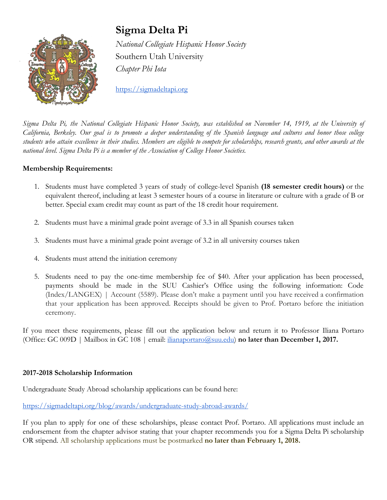

# **Sigma Delta Pi**

*National Collegiate Hispanic Honor Society* Southern Utah University *Chapter Phi Iota*

[https://sigmadeltapi.org](https://sigmadeltapi.org/)

Sigma Delta Pi, the National Collegiate Hispanic Honor Society, was established on November 14, 1919, at the University of California, Berkeley. Our goal is to promote a deeper understanding of the Spanish language and cultures and honor those college students who attain excellence in their studies. Members are eligible to compete for scholarships, research grants, and other awards at the *national level. Sigma Delta Pi is a member of the Association of College Honor Societies.*

#### **Membership Requirements:**

- 1. Students must have completed 3 years of study of college-level Spanish **(18 semester credit hours)** or the equivalent thereof, including at least 3 semester hours of a course in literature or culture with a grade of B or better. Special exam credit may count as part of the 18 credit hour requirement.
- 2. Students must have a minimal grade point average of 3.3 in all Spanish courses taken
- 3. Students must have a minimal grade point average of 3.2 in all university courses taken
- 4. Students must attend the initiation ceremony
- 5. Students need to pay the one-time membership fee of \$40. After your application has been processed, payments should be made in the SUU Cashier's Office using the following information: Code ( Index/LANGEX) | Account (5589). Please don't make a payment until you have received a confirmation that your application has been approved. Receipts should be given to Prof. Portaro before the initiation ceremony.

If you meet these requirements, please fill out the application below and return it to Professor Iliana Portaro (Office: GC 009D | Mailbox in GC 108 | email: [ilianaportaro@suu.edu](mailto:ilianaportaro@suu.edu) ) **no later than December 1, 2017.**

#### **2017-2018 Scholarship Information**

Undergraduate Study Abroad scholarship applications can be found here:

<https://sigmadeltapi.org/blog/awards/undergraduate-study-abroad-awards/>

If you plan to apply for one of these scholarships, please contact Prof. Portaro. All applications must include an endorsement from the chapter advisor stating that your chapter recommends you for a Sigma Delta Pi scholarship OR stipend. All scholarship applications must be postmarked **no later than February 1, 2018.**